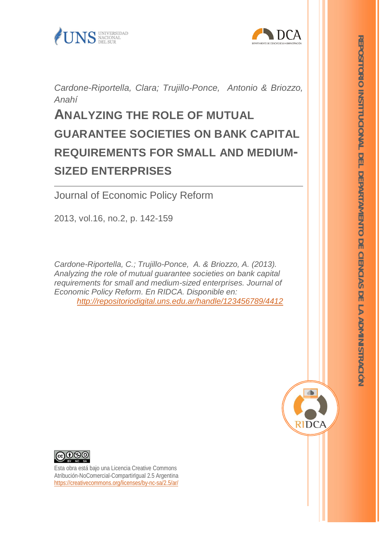





ADMINISTRACIÓN

*Cardone-Riportella, Clara; Trujillo-Ponce, Antonio & Briozzo, Anahí*

# **ANALYZING THE ROLE OF MUTUAL GUARANTEE SOCIETIES ON BANK CAPITAL REQUIREMENTS FOR SMALL AND MEDIUM-SIZED ENTERPRISES**

Journal of Economic Policy Reform

2013, vol.16, no.2, p. 142-159

*Cardone-Riportella, C.; Trujillo-Ponce, A. & Briozzo, A. (2013). Analyzing the role of mutual guarantee societies on bank capital requirements for small and medium-sized enterprises. Journal of Economic Policy Reform. En RIDCA. Disponible en: http://repositoriodigital.uns.edu.ar/handle/123456789/4412*





Esta obra está bajo una Licencia Creative Commons Atribución-NoComercial-CompartirIgual 2.5 Argentina https://creativecommons.org/licenses/by-nc-sa/2.5/ar/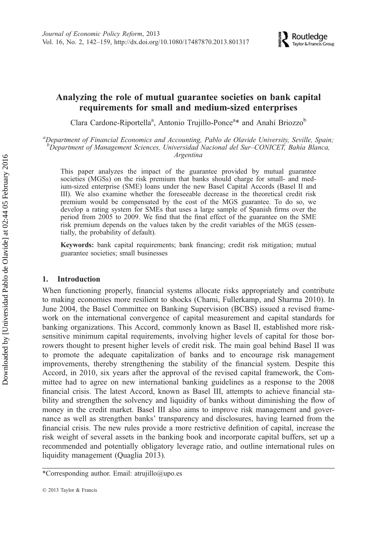

# Analyzing the role of mutual guarantee societies on bank capital requirements for small and medium-sized enterprises

Clara Cardone-Riportella<sup>a</sup>, Antonio Trujillo-Ponce<sup>a\*</sup> and Anahí Briozzo<sup>b</sup>

<sup>a</sup> Department of Financial Economics and Accounting, Pablo de Olavide University, Seville, Spain; <sup>b</sup>Department of Management Sciences, Universidad Nacional del Sur–CONICET, Bahía Blanca, Argentina

This paper analyzes the impact of the guarantee provided by mutual guarantee societies (MGSs) on the risk premium that banks should charge for small- and medium-sized enterprise (SME) loans under the new Basel Capital Accords (Basel II and III). We also examine whether the foreseeable decrease in the theoretical credit risk premium would be compensated by the cost of the MGS guarantee. To do so, we develop a rating system for SMEs that uses a large sample of Spanish firms over the period from 2005 to 2009. We find that the final effect of the guarantee on the SME risk premium depends on the values taken by the credit variables of the MGS (essentially, the probability of default).

Keywords: bank capital requirements; bank financing; credit risk mitigation; mutual guarantee societies; small businesses

# 1. Introduction

When functioning properly, financial systems allocate risks appropriately and contribute to making economies more resilient to shocks (Chami, Fullerkamp, and Sharma 2010). In June 2004, the Basel Committee on Banking Supervision (BCBS) issued a revised framework on the international convergence of capital measurement and capital standards for banking organizations. This Accord, commonly known as Basel II, established more risksensitive minimum capital requirements, involving higher levels of capital for those borrowers thought to present higher levels of credit risk. The main goal behind Basel II was to promote the adequate capitalization of banks and to encourage risk management improvements, thereby strengthening the stability of the financial system. Despite this Accord, in 2010, six years after the approval of the revised capital framework, the Committee had to agree on new international banking guidelines as a response to the 2008 financial crisis. The latest Accord, known as Basel III, attempts to achieve financial stability and strengthen the solvency and liquidity of banks without diminishing the flow of money in the credit market. Basel III also aims to improve risk management and governance as well as strengthen banks' transparency and disclosures, having learned from the financial crisis. The new rules provide a more restrictive definition of capital, increase the risk weight of several assets in the banking book and incorporate capital buffers, set up a recommended and potentially obligatory leverage ratio, and outline international rules on liquidity management (Quaglia 2013).

<sup>\*</sup>Corresponding author. Email: atrujillo@upo.es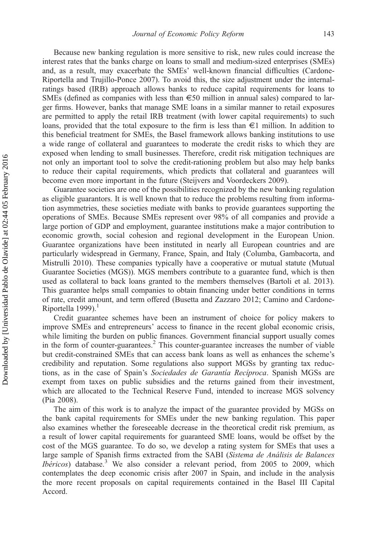Because new banking regulation is more sensitive to risk, new rules could increase the interest rates that the banks charge on loans to small and medium-sized enterprises (SMEs) and, as a result, may exacerbate the SMEs' well-known financial difficulties (Cardone-Riportella and Trujillo-Ponce 2007). To avoid this, the size adjustment under the internalratings based (IRB) approach allows banks to reduce capital requirements for loans to SMEs (defined as companies with less than  $\epsilon$  50 million in annual sales) compared to larger firms. However, banks that manage SME loans in a similar manner to retail exposures are permitted to apply the retail IRB treatment (with lower capital requirements) to such loans, provided that the total exposure to the firm is less than  $\epsilon$ 1 million. In addition to this beneficial treatment for SMEs, the Basel framework allows banking institutions to use a wide range of collateral and guarantees to moderate the credit risks to which they are exposed when lending to small businesses. Therefore, credit risk mitigation techniques are not only an important tool to solve the credit-rationing problem but also may help banks to reduce their capital requirements, which predicts that collateral and guarantees will become even more important in the future (Steijvers and Voordeckers 2009).

Guarantee societies are one of the possibilities recognized by the new banking regulation as eligible guarantors. It is well known that to reduce the problems resulting from information asymmetries, these societies mediate with banks to provide guarantees supporting the operations of SMEs. Because SMEs represent over 98% of all companies and provide a large portion of GDP and employment, guarantee institutions make a major contribution to economic growth, social cohesion and regional development in the European Union. Guarantee organizations have been instituted in nearly all European countries and are particularly widespread in Germany, France, Spain, and Italy (Columba, Gambacorta, and Mistrulli 2010). These companies typically have a cooperative or mutual statute (Mutual Guarantee Societies (MGS)). MGS members contribute to a guarantee fund, which is then used as collateral to back loans granted to the members themselves (Bartoli et al. 2013). This guarantee helps small companies to obtain financing under better conditions in terms of rate, credit amount, and term offered (Busetta and Zazzaro 2012; Camino and Cardone-Riportella 1999).<sup>1</sup>

Credit guarantee schemes have been an instrument of choice for policy makers to improve SMEs and entrepreneurs' access to finance in the recent global economic crisis, while limiting the burden on public finances. Government financial support usually comes in the form of counter-guarantees.<sup>2</sup> This counter-guarantee increases the number of viable but credit-constrained SMEs that can access bank loans as well as enhances the scheme's credibility and reputation. Some regulations also support MGSs by granting tax reductions, as in the case of Spain's Sociedades de Garantía Recíproca. Spanish MGSs are exempt from taxes on public subsidies and the returns gained from their investment, which are allocated to the Technical Reserve Fund, intended to increase MGS solvency (Pia 2008).

The aim of this work is to analyze the impact of the guarantee provided by MGSs on the bank capital requirements for SMEs under the new banking regulation. This paper also examines whether the foreseeable decrease in the theoretical credit risk premium, as a result of lower capital requirements for guaranteed SME loans, would be offset by the cost of the MGS guarantee. To do so, we develop a rating system for SMEs that uses a large sample of Spanish firms extracted from the SABI (Sistema de Análisis de Balances Ibéricos) database.3 We also consider a relevant period, from 2005 to 2009, which contemplates the deep economic crisis after 2007 in Spain, and include in the analysis the more recent proposals on capital requirements contained in the Basel III Capital Accord.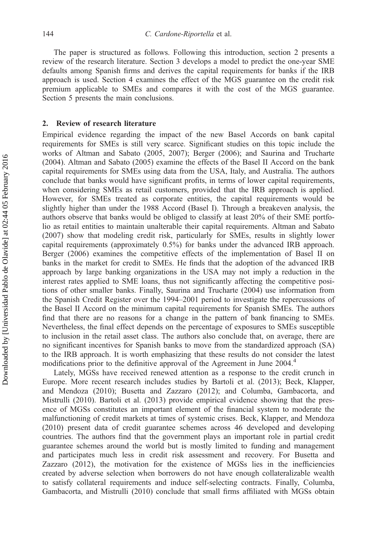The paper is structured as follows. Following this introduction, section 2 presents a review of the research literature. Section 3 develops a model to predict the one-year SME defaults among Spanish firms and derives the capital requirements for banks if the IRB approach is used. Section 4 examines the effect of the MGS guarantee on the credit risk premium applicable to SMEs and compares it with the cost of the MGS guarantee. Section 5 presents the main conclusions.

#### 2. Review of research literature

Empirical evidence regarding the impact of the new Basel Accords on bank capital requirements for SMEs is still very scarce. Significant studies on this topic include the works of Altman and Sabato (2005, 2007); Berger (2006); and Saurina and Trucharte (2004). Altman and Sabato (2005) examine the effects of the Basel II Accord on the bank capital requirements for SMEs using data from the USA, Italy, and Australia. The authors conclude that banks would have significant profits, in terms of lower capital requirements, when considering SMEs as retail customers, provided that the IRB approach is applied. However, for SMEs treated as corporate entities, the capital requirements would be slightly higher than under the 1988 Accord (Basel I). Through a breakeven analysis, the authors observe that banks would be obliged to classify at least 20% of their SME portfolio as retail entities to maintain unalterable their capital requirements. Altman and Sabato (2007) show that modeling credit risk, particularly for SMEs, results in slightly lower capital requirements (approximately 0.5%) for banks under the advanced IRB approach. Berger (2006) examines the competitive effects of the implementation of Basel II on banks in the market for credit to SMEs. He finds that the adoption of the advanced IRB approach by large banking organizations in the USA may not imply a reduction in the interest rates applied to SME loans, thus not significantly affecting the competitive positions of other smaller banks. Finally, Saurina and Trucharte (2004) use information from the Spanish Credit Register over the 1994–2001 period to investigate the repercussions of the Basel II Accord on the minimum capital requirements for Spanish SMEs. The authors find that there are no reasons for a change in the pattern of bank financing to SMEs. Nevertheless, the final effect depends on the percentage of exposures to SMEs susceptible to inclusion in the retail asset class. The authors also conclude that, on average, there are no significant incentives for Spanish banks to move from the standardized approach (SA) to the IRB approach. It is worth emphasizing that these results do not consider the latest modifications prior to the definitive approval of the Agreement in June 2004.<sup>4</sup>

Lately, MGSs have received renewed attention as a response to the credit crunch in Europe. More recent research includes studies by Bartoli et al. (2013); Beck, Klapper, and Mendoza (2010); Busetta and Zazzaro (2012); and Columba, Gambacorta, and Mistrulli (2010). Bartoli et al. (2013) provide empirical evidence showing that the presence of MGSs constitutes an important element of the financial system to moderate the malfunctioning of credit markets at times of systemic crises. Beck, Klapper, and Mendoza (2010) present data of credit guarantee schemes across 46 developed and developing countries. The authors find that the government plays an important role in partial credit guarantee schemes around the world but is mostly limited to funding and management and participates much less in credit risk assessment and recovery. For Busetta and Zazzaro (2012), the motivation for the existence of MGSs lies in the inefficiencies created by adverse selection when borrowers do not have enough collateralizable wealth to satisfy collateral requirements and induce self-selecting contracts. Finally, Columba, Gambacorta, and Mistrulli (2010) conclude that small firms affiliated with MGSs obtain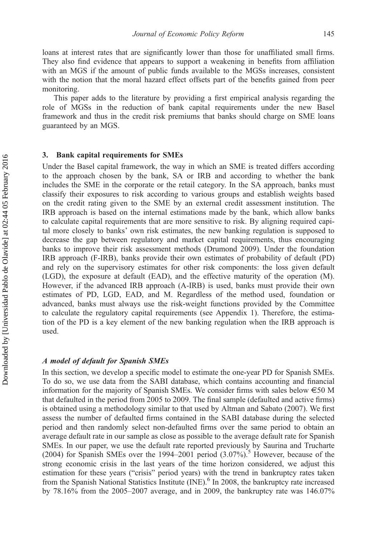loans at interest rates that are significantly lower than those for unaffiliated small firms. They also find evidence that appears to support a weakening in benefits from affiliation with an MGS if the amount of public funds available to the MGSs increases, consistent with the notion that the moral hazard effect offsets part of the benefits gained from peer monitoring.

This paper adds to the literature by providing a first empirical analysis regarding the role of MGSs in the reduction of bank capital requirements under the new Basel framework and thus in the credit risk premiums that banks should charge on SME loans guaranteed by an MGS.

# 3. Bank capital requirements for SMEs

Under the Basel capital framework, the way in which an SME is treated differs according to the approach chosen by the bank, SA or IRB and according to whether the bank includes the SME in the corporate or the retail category. In the SA approach, banks must classify their exposures to risk according to various groups and establish weights based on the credit rating given to the SME by an external credit assessment institution. The IRB approach is based on the internal estimations made by the bank, which allow banks to calculate capital requirements that are more sensitive to risk. By aligning required capital more closely to banks' own risk estimates, the new banking regulation is supposed to decrease the gap between regulatory and market capital requirements, thus encouraging banks to improve their risk assessment methods (Drumond 2009). Under the foundation IRB approach (F-IRB), banks provide their own estimates of probability of default (PD) and rely on the supervisory estimates for other risk components: the loss given default (LGD), the exposure at default (EAD), and the effective maturity of the operation (M). However, if the advanced IRB approach (A-IRB) is used, banks must provide their own estimates of PD, LGD, EAD, and M. Regardless of the method used, foundation or advanced, banks must always use the risk-weight functions provided by the Committee to calculate the regulatory capital requirements (see Appendix 1). Therefore, the estimation of the PD is a key element of the new banking regulation when the IRB approach is used.

#### A model of default for Spanish SMEs

In this section, we develop a specific model to estimate the one-year PD for Spanish SMEs. To do so, we use data from the SABI database, which contains accounting and financial information for the majority of Spanish SMEs. We consider firms with sales below  $\epsilon$  50 M that defaulted in the period from 2005 to 2009. The final sample (defaulted and active firms) is obtained using a methodology similar to that used by Altman and Sabato (2007). We first assess the number of defaulted firms contained in the SABI database during the selected period and then randomly select non-defaulted firms over the same period to obtain an average default rate in our sample as close as possible to the average default rate for Spanish SMEs. In our paper, we use the default rate reported previously by Saurina and Trucharte (2004) for Spanish SMEs over the 1994–2001 period  $(3.07\%)$ . However, because of the strong economic crisis in the last years of the time horizon considered, we adjust this estimation for these years ("crisis" period years) with the trend in bankruptcy rates taken from the Spanish National Statistics Institute (INE).<sup>6</sup> In 2008, the bankruptcy rate increased by  $78.16\%$  from the  $2005-2007$  average, and in 2009, the bankruptcy rate was  $146.07\%$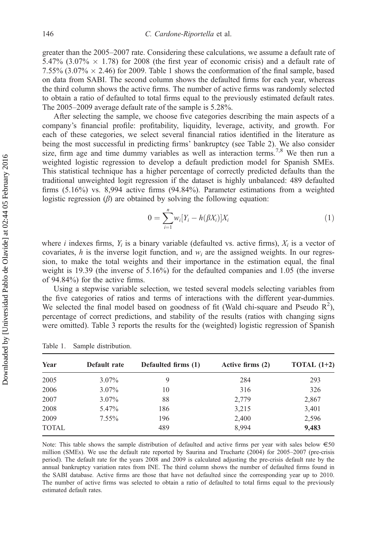greater than the 2005–2007 rate. Considering these calculations, we assume a default rate of 5.47% (3.07%  $\times$  1.78) for 2008 (the first year of economic crisis) and a default rate of 7.55% (3.07%  $\times$  2.46) for 2009. Table 1 shows the conformation of the final sample, based on data from SABI. The second column shows the defaulted firms for each year, whereas the third column shows the active firms. The number of active firms was randomly selected to obtain a ratio of defaulted to total firms equal to the previously estimated default rates. The 2005–2009 average default rate of the sample is 5.28%.

After selecting the sample, we choose five categories describing the main aspects of a company's financial profile: profitability, liquidity, leverage, activity, and growth. For each of these categories, we select several financial ratios identified in the literature as being the most successful in predicting firms' bankruptcy (see Table 2). We also consider size, firm age and time dummy variables as well as interaction terms.<sup>7,8</sup> We then run a weighted logistic regression to develop a default prediction model for Spanish SMEs. This statistical technique has a higher percentage of correctly predicted defaults than the traditional unweighted logit regression if the dataset is highly unbalanced: 489 defaulted firms (5.16%) vs. 8,994 active firms (94.84%). Parameter estimations from a weighted logistic regression  $(\beta)$  are obtained by solving the following equation:

$$
0 = \sum_{i=1}^{n} w_i [Y_i - h(\beta X_i)] X_i
$$
 (1)

where i indexes firms,  $Y_i$  is a binary variable (defaulted vs. active firms),  $X_i$  is a vector of covariates, h is the inverse logit function, and  $w_i$  are the assigned weights. In our regression, to make the total weights and their importance in the estimation equal, the final weight is 19.39 (the inverse of 5.16%) for the defaulted companies and 1.05 (the inverse of 94.84%) for the active firms.

Using a stepwise variable selection, we tested several models selecting variables from the five categories of ratios and terms of interactions with the different year-dummies. We selected the final model based on goodness of fit (Wald chi-square and Pseudo  $R^2$ ), percentage of correct predictions, and stability of the results (ratios with changing signs were omitted). Table 3 reports the results for the (weighted) logistic regression of Spanish

| Year         | Default rate | Defaulted firms (1) | Active firms (2) | TOTAL $(1+2)$ |
|--------------|--------------|---------------------|------------------|---------------|
| 2005         | $3.07\%$     | 9                   | 284              | 293           |
| 2006         | $3.07\%$     | 10                  | 316              | 326           |
| 2007         | $3.07\%$     | 88                  | 2,779            | 2,867         |
| 2008         | 5.47%        | 186                 | 3,215            | 3,401         |
| 2009         | $7.55\%$     | 196                 | 2,400            | 2,596         |
| <b>TOTAL</b> |              | 489                 | 8,994            | 9,483         |

Table 1. Sample distribution.

Note: This table shows the sample distribution of defaulted and active firms per year with sales below  $\epsilon$ 50 million (SMEs). We use the default rate reported by Saurina and Trucharte (2004) for 2005–2007 (pre-crisis period). The default rate for the years 2008 and 2009 is calculated adjusting the pre-crisis default rate by the annual bankruptcy variation rates from INE. The third column shows the number of defaulted firms found in the SABI database. Active firms are those that have not defaulted since the corresponding year up to 2010. The number of active firms was selected to obtain a ratio of defaulted to total firms equal to the previously estimated default rates.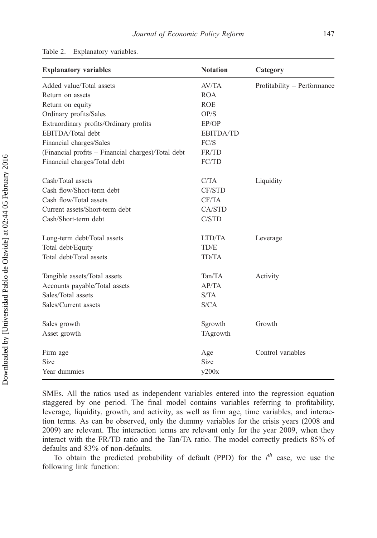#### Table 2. Explanatory variables.

| <b>Explanatory variables</b>                       | <b>Notation</b> | Category                    |
|----------------------------------------------------|-----------------|-----------------------------|
| Added value/Total assets                           | <b>AV/TA</b>    | Profitability – Performance |
| Return on assets                                   | <b>ROA</b>      |                             |
| Return on equity                                   | <b>ROE</b>      |                             |
| Ordinary profits/Sales                             | OP/S            |                             |
| Extraordinary profits/Ordinary profits             | EP/OP           |                             |
| EBITDA/Total debt                                  | EBITDA/TD       |                             |
| Financial charges/Sales                            | FC/S            |                             |
| (Financial profits - Financial charges)/Total debt | FR/TD           |                             |
| Financial charges/Total debt                       | FC/TD           |                             |
| Cash/Total assets                                  | C/TA            | Liquidity                   |
| Cash flow/Short-term debt                          | CF/STD          |                             |
| Cash flow/Total assets                             | CF/TA           |                             |
| Current assets/Short-term debt                     | CA/STD          |                             |
| Cash/Short-term debt                               | C/STD           |                             |
| Long-term debt/Total assets                        | LTD/TA          | Leverage                    |
| Total debt/Equity                                  | TD/E            |                             |
| Total debt/Total assets                            | TD/TA           |                             |
| Tangible assets/Total assets                       | Tan/TA          | Activity                    |
| Accounts payable/Total assets                      | AP/TA           |                             |
| Sales/Total assets                                 | S/TA            |                             |
| Sales/Current assets                               | S/CA            |                             |
| Sales growth                                       | Sgrowth         | Growth                      |
| Asset growth                                       | TAgrowth        |                             |
| Firm age                                           | Age             | Control variables           |
| Size                                               | Size            |                             |
| Year dummies                                       | y200x           |                             |

SMEs. All the ratios used as independent variables entered into the regression equation staggered by one period. The final model contains variables referring to profitability, leverage, liquidity, growth, and activity, as well as firm age, time variables, and interaction terms. As can be observed, only the dummy variables for the crisis years (2008 and 2009) are relevant. The interaction terms are relevant only for the year 2009, when they interact with the FR/TD ratio and the Tan/TA ratio. The model correctly predicts 85% of defaults and 83% of non-defaults.

To obtain the predicted probability of default (PPD) for the  $i<sup>th</sup>$  case, we use the following link function: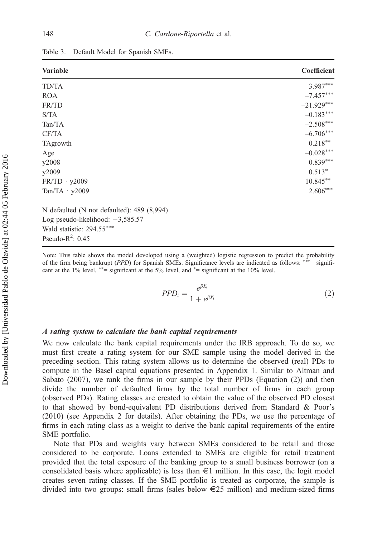Table 3. Default Model for Spanish SMEs.

| <b>Variable</b>                              | Coefficient  |
|----------------------------------------------|--------------|
| TD/TA                                        | $3.987***$   |
| <b>ROA</b>                                   | $-7.457***$  |
| FR/TD                                        | $-21.929***$ |
| S/TA                                         | $-0.183***$  |
| Tan/TA                                       | $-2.508***$  |
| CF/TA                                        | $-6.706***$  |
| TAgrowth                                     | $0.218***$   |
| Age                                          | $-0.028***$  |
| y2008                                        | $0.839***$   |
| y2009                                        | $0.513*$     |
| $FR/TD \cdot y2009$                          | $10.845***$  |
| Tan/TA $\cdot$ y2009                         | $2.606***$   |
| N defaulted (N not defaulted): $489$ (8,994) |              |
| Log pseudo-likelihood: $-3,585.57$           |              |
| Wald statistic: $294.55***$                  |              |
| Pseudo- $R^2$ : 0.45                         |              |

Note: This table shows the model developed using a (weighted) logistic regression to predict the probability of the firm being bankrupt (PPD) for Spanish SMEs. Significance levels are indicated as follows:  $** =$  significant at the 1% level,  $^{**}$  = significant at the 5% level, and  $^{*}$  = significant at the 10% level.

$$
PPD_i = \frac{e^{\beta X_i}}{1 + e^{\beta X_i}}\tag{2}
$$

#### A rating system to calculate the bank capital requirements

We now calculate the bank capital requirements under the IRB approach. To do so, we must first create a rating system for our SME sample using the model derived in the preceding section. This rating system allows us to determine the observed (real) PDs to compute in the Basel capital equations presented in Appendix 1. Similar to Altman and Sabato (2007), we rank the firms in our sample by their PPDs (Equation (2)) and then divide the number of defaulted firms by the total number of firms in each group (observed PDs). Rating classes are created to obtain the value of the observed PD closest to that showed by bond-equivalent PD distributions derived from Standard & Poor's (2010) (see Appendix 2 for details). After obtaining the PDs, we use the percentage of firms in each rating class as a weight to derive the bank capital requirements of the entire SME portfolio.

Note that PDs and weights vary between SMEs considered to be retail and those considered to be corporate. Loans extended to SMEs are eligible for retail treatment provided that the total exposure of the banking group to a small business borrower (on a consolidated basis where applicable) is less than  $\epsilon$ 1 million. In this case, the logit model creates seven rating classes. If the SME portfolio is treated as corporate, the sample is divided into two groups: small firms (sales below  $\epsilon$ 25 million) and medium-sized firms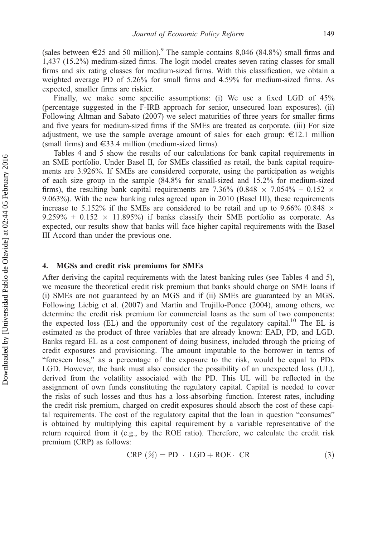(sales between  $\epsilon$ 25 and 50 million).<sup>9</sup> The sample contains 8,046 (84.8%) small firms and 1,437 (15.2%) medium-sized firms. The logit model creates seven rating classes for small firms and six rating classes for medium-sized firms. With this classification, we obtain a weighted average PD of 5.26% for small firms and 4.59% for medium-sized firms. As expected, smaller firms are riskier.

Finally, we make some specific assumptions: (i) We use a fixed LGD of 45% (percentage suggested in the F-IRB approach for senior, unsecured loan exposures). (ii) Following Altman and Sabato (2007) we select maturities of three years for smaller firms and five years for medium-sized firms if the SMEs are treated as corporate. (iii) For size adjustment, we use the sample average amount of sales for each group:  $\epsilon$ 12.1 million (small firms) and  $\in$ 33.4 million (medium-sized firms).

Tables 4 and 5 show the results of our calculations for bank capital requirements in an SME portfolio. Under Basel II, for SMEs classified as retail, the bank capital requirements are 3.926%. If SMEs are considered corporate, using the participation as weights of each size group in the sample (84.8% for small-sized and 15.2% for medium-sized firms), the resulting bank capital requirements are 7.36% (0.848  $\times$  7.054% + 0.152  $\times$ 9.063%). With the new banking rules agreed upon in 2010 (Basel III), these requirements increase to 5.152% if the SMEs are considered to be retail and up to 9.66% (0.848  $\times$ 9.259% + 0.152  $\times$  11.895%) if banks classify their SME portfolio as corporate. As expected, our results show that banks will face higher capital requirements with the Basel III Accord than under the previous one.

## 4. MGSs and credit risk premiums for SMEs

After deriving the capital requirements with the latest banking rules (see Tables 4 and 5), we measure the theoretical credit risk premium that banks should charge on SME loans if (i) SMEs are not guaranteed by an MGS and if (ii) SMEs are guaranteed by an MGS. Following Liebig et al. (2007) and Martín and Trujillo-Ponce (2004), among others, we determine the credit risk premium for commercial loans as the sum of two components: the expected loss (EL) and the opportunity cost of the regulatory capital.<sup>10</sup> The EL is estimated as the product of three variables that are already known: EAD, PD, and LGD. Banks regard EL as a cost component of doing business, included through the pricing of credit exposures and provisioning. The amount imputable to the borrower in terms of "foreseen loss," as a percentage of the exposure to the risk, would be equal to PDx LGD. However, the bank must also consider the possibility of an unexpected loss (UL), derived from the volatility associated with the PD. This UL will be reflected in the assignment of own funds constituting the regulatory capital. Capital is needed to cover the risks of such losses and thus has a loss-absorbing function. Interest rates, including the credit risk premium, charged on credit exposures should absorb the cost of these capital requirements. The cost of the regulatory capital that the loan in question "consumes" is obtained by multiplying this capital requirement by a variable representative of the return required from it (e.g., by the ROE ratio). Therefore, we calculate the credit risk premium (CRP) as follows:

$$
CRP\ (\%) = PD \cdot LGD + ROE \cdot CR \tag{3}
$$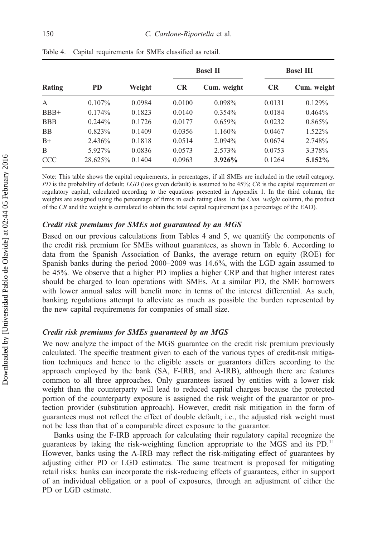|            |           |        |           | <b>Basel II</b> | <b>Basel III</b> |             |
|------------|-----------|--------|-----------|-----------------|------------------|-------------|
| Rating     | <b>PD</b> | Weight | <b>CR</b> | Cum. weight     | <b>CR</b>        | Cum. weight |
| A          | $0.107\%$ | 0.0984 | 0.0100    | $0.098\%$       | 0.0131           | 0.129%      |
| $BBB+$     | 0.174%    | 0.1823 | 0.0140    | $0.354\%$       | 0.0184           | $0.464\%$   |
| <b>BBB</b> | $0.244\%$ | 0.1726 | 0.0177    | 0.659%          | 0.0232           | 0.865%      |
| <b>BB</b>  | 0.823%    | 0.1409 | 0.0356    | 1.160%          | 0.0467           | 1.522%      |
| $B+$       | 2.436%    | 0.1818 | 0.0514    | 2.094%          | 0.0674           | 2.748%      |
| B          | 5.927%    | 0.0836 | 0.0573    | 2.573%          | 0.0753           | 3.378%      |
| <b>CCC</b> | 28.625%   | 0.1404 | 0.0963    | 3.926%          | 0.1264           | $5.152\%$   |

Table 4. Capital requirements for SMEs classified as retail.

Note: This table shows the capital requirements, in percentages, if all SMEs are included in the retail category. PD is the probability of default; LGD (loss given default) is assumed to be 45%; CR is the capital requirement or regulatory capital, calculated according to the equations presented in Appendix 1. In the third column, the weights are assigned using the percentage of firms in each rating class. In the Cum. weight column, the product of the CR and the weight is cumulated to obtain the total capital requirement (as a percentage of the EAD).

# Credit risk premiums for SMEs not guaranteed by an MGS

Based on our previous calculations from Tables 4 and 5, we quantify the components of the credit risk premium for SMEs without guarantees, as shown in Table 6. According to data from the Spanish Association of Banks, the average return on equity (ROE) for Spanish banks during the period 2000–2009 was 14.6%, with the LGD again assumed to be 45%. We observe that a higher PD implies a higher CRP and that higher interest rates should be charged to loan operations with SMEs. At a similar PD, the SME borrowers with lower annual sales will benefit more in terms of the interest differential. As such, banking regulations attempt to alleviate as much as possible the burden represented by the new capital requirements for companies of small size.

# Credit risk premiums for SMEs guaranteed by an MGS

We now analyze the impact of the MGS guarantee on the credit risk premium previously calculated. The specific treatment given to each of the various types of credit-risk mitigation techniques and hence to the eligible assets or guarantors differs according to the approach employed by the bank (SA, F-IRB, and A-IRB), although there are features common to all three approaches. Only guarantees issued by entities with a lower risk weight than the counterparty will lead to reduced capital charges because the protected portion of the counterparty exposure is assigned the risk weight of the guarantor or protection provider (substitution approach). However, credit risk mitigation in the form of guarantees must not reflect the effect of double default; i.e., the adjusted risk weight must not be less than that of a comparable direct exposure to the guarantor.

Banks using the F-IRB approach for calculating their regulatory capital recognize the guarantees by taking the risk-weighting function appropriate to the MGS and its PD.<sup>11</sup> However, banks using the A-IRB may reflect the risk-mitigating effect of guarantees by adjusting either PD or LGD estimates. The same treatment is proposed for mitigating retail risks: banks can incorporate the risk-reducing effects of guarantees, either in support of an individual obligation or a pool of exposures, through an adjustment of either the PD or LGD estimate.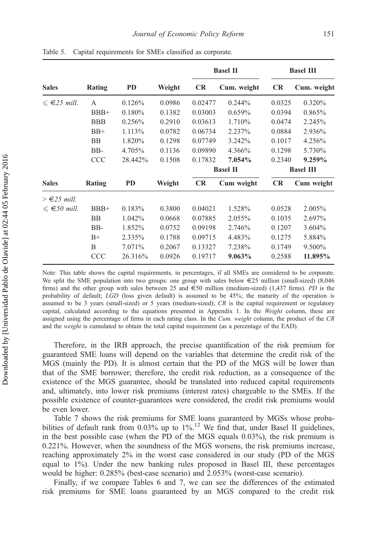|                               |            |           |        |           | <b>Basel II</b> |           | <b>Basel III</b> |
|-------------------------------|------------|-----------|--------|-----------|-----------------|-----------|------------------|
| <b>Sales</b>                  | Rating     | <b>PD</b> | Weight | <b>CR</b> | Cum. weight     | <b>CR</b> | Cum. weight      |
| $\leqslant \epsilon$ 25 mill. | A          | 0.126%    | 0.0986 | 0.02477   | $0.244\%$       | 0.0325    | $0.320\%$        |
|                               | $BBB+$     | 0.180%    | 0.1382 | 0.03003   | 0.659%          | 0.0394    | 0.865%           |
|                               | <b>BBB</b> | 0.256%    | 0.2910 | 0.03613   | 1.710%          | 0.0474    | 2.245%           |
|                               | $BB+$      | 1.113%    | 0.0782 | 0.06734   | 2.237%          | 0.0884    | 2.936%           |
|                               | <b>BB</b>  | 1.820%    | 0.1298 | 0.07749   | 3.242%          | 0.1017    | 4.256%           |
|                               | BB-        | 4.705%    | 0.1136 | 0.09890   | 4.366%          | 0.1298    | 5.730%           |
|                               | <b>CCC</b> | 28.442%   | 0.1508 | 0.17832   | 7.054%          | 0.2340    | 9.259%           |
|                               |            |           |        |           | <b>Basel II</b> |           | <b>Basel III</b> |
| <b>Sales</b>                  | Rating     | <b>PD</b> | Weight | CR        | Cum weight      | <b>CR</b> | Cum weight       |
| $>\epsilon$ 25 mill.          |            |           |        |           |                 |           |                  |
| $\leq$ $\in$ 50 mill.         | $BBB+$     | 0.183%    | 0.3800 | 0.04021   | 1.528%          | 0.0528    | 2.005%           |
|                               | <b>BB</b>  | 1.042%    | 0.0668 | 0.07885   | 2.055%          | 0.1035    | 2.697%           |
|                               | $BB-$      | 1.852%    | 0.0752 | 0.09198   | 2.746%          | 0.1207    | 3.604%           |
|                               | $B+$       | 2.335%    | 0.1788 | 0.09715   | 4.483%          | 0.1275    | 5.884%           |
|                               | B          | 7.071%    | 0.2067 | 0.13327   | 7.238%          | 0.1749    | 9.500%           |
|                               | <b>CCC</b> | 26.316%   | 0.0926 | 0.19717   | $9.063\%$       | 0.2588    | 11.895%          |

Table 5. Capital requirements for SMEs classified as corporate.

Note: This table shows the capital requirements, in percentages, if all SMEs are considered to be corporate. We split the SME population into two groups: one group with sales below  $\epsilon$ 25 million (small-sized) (8,046 firms) and the other group with sales between 25 and  $\epsilon$  50 million (medium-sized) (1,437 firms). PD is the probability of default; LGD (loss given default) is assumed to be 45%; the maturity of the operation is assumed to be 3 years (small-sized) or 5 years (medium-sized); CR is the capital requirement or regulatory capital, calculated according to the equations presented in Appendix 1. In the Weight column, these are assigned using the percentage of firms in each rating class. In the Cum. weight column, the product of the CR and the weight is cumulated to obtain the total capital requirement (as a percentage of the EAD).

Therefore, in the IRB approach, the precise quantification of the risk premium for guaranteed SME loans will depend on the variables that determine the credit risk of the MGS (mainly the PD). It is almost certain that the PD of the MGS will be lower than that of the SME borrower; therefore, the credit risk reduction, as a consequence of the existence of the MGS guarantee, should be translated into reduced capital requirements and, ultimately, into lower risk premiums (interest rates) chargeable to the SMEs. If the possible existence of counter-guarantees were considered, the credit risk premiums would be even lower.

Table 7 shows the risk premiums for SME loans guaranteed by MGSs whose probabilities of default rank from  $0.03\%$  up to  $1\%$ .<sup>12</sup> We find that, under Basel II guidelines, in the best possible case (when the PD of the MGS equals 0.03%), the risk premium is 0.221%. However, when the soundness of the MGS worsens, the risk premiums increase, reaching approximately 2% in the worst case considered in our study (PD of the MGS equal to 1%). Under the new banking rules proposed in Basel III, these percentages would be higher: 0.285% (best-case scenario) and 2.053% (worst-case scenario).

Finally, if we compare Tables 6 and 7, we can see the differences of the estimated risk premiums for SME loans guaranteed by an MGS compared to the credit risk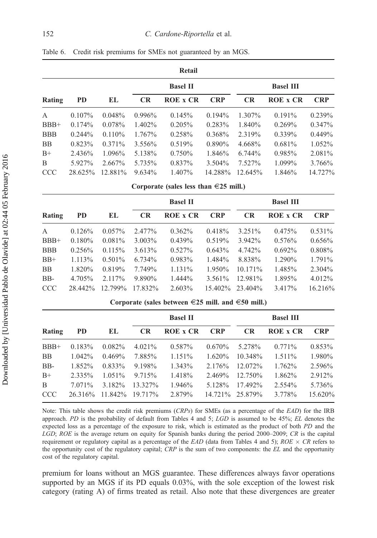Retail Basel II Basel III Rating PD EL CR ROE x CR CRP CR ROE x CR CRP A 0.107% 0.048% 0.996% 0.145% 0.194% 1.307% 0.191% 0.239% BBB+ 0.174% 0.078% 1.402% 0.205% 0.283% 1.840% 0.269% 0.347% BBB 0.244% 0.110% 1.767% 0.258% 0.368% 2.319% 0.339% 0.449% BB 0.823% 0.371% 3.556% 0.519% 0.890% 4.668% 0.681% 1.052% B+ 2.436% 1.096% 5.138% 0.750% 1.846% 6.744% 0.985% 2.081% B 5.927% 2.667% 5.735% 0.837% 3.504% 7.527% 1.099% 3.766% CCC 28.625% 12.881% 9.634% 1.407% 14.288% 12.645% 1.846% 14.727% Corporate (sales less than  $\in$  25 mill.) Basel II Basel III Rating PD EL CR ROE x CR CRP CR ROE x CR CRP A 0.126% 0.057% 2.477% 0.362% 0.418% 3.251% 0.475% 0.531% BBB+ 0.180% 0.081% 3.003% 0.439% 0.519% 3.942% 0.576% 0.656% BBB 0.256% 0.115% 3.613% 0.527% 0.643% 4.742% 0.692% 0.808% BB+ 1.113% 0.501% 6.734% 0.983% 1.484% 8.838% 1.290% 1.791% BB 1.820% 0.819% 7.749% 1.131% 1.950% 10.171% 1.485% 2.304% BB- 4.705% 2.117% 9.890% 1.444% 3.561% 12.981% 1.895% 4.012% CCC 28.442% 12.799% 17.832% 2.603% 15.402% 23.404% 3.417% 16.216% Corporate (sales between  $\in$  25 mill. and  $\in$  50 mill.) Basel II Basel III Rating PD EL CR ROE x CR CRP CR ROE x CR CRP BBB+ 0.183% 0.082% 4.021% 0.587% 0.670% 5.278% 0.771% 0.853% BB 1.042% 0.469% 7.885% 1.151% 1.620% 10.348% 1.511% 1.980% BB- 1.852% 0.833% 9.198% 1.343% 2.176% 12.072% 1.762% 2.596% B+ 2.335% 1.051% 9.715% 1.418% 2.469% 12.750% 1.862% 2.912% B 7.071% 3.182% 13.327% 1.946% 5.128% 17.492% 2.554% 5.736% CCC 26.316% 11.842% 19.717% 2.879% 14.721% 25.879% 3.778% 15.620%

Table 6. Credit risk premiums for SMEs not guaranteed by an MGS.

Note: This table shows the credit risk premiums (CRPs) for SMEs (as a percentage of the EAD) for the IRB approach. PD is the probability of default from Tables 4 and 5; LGD is assumed to be 45%; EL denotes the expected loss as a percentage of the exposure to risk, which is estimated as the product of both PD and the LGD; ROE is the average return on equity for Spanish banks during the period 2000–2009; CR is the capital requirement or regulatory capital as a percentage of the  $EAD$  (data from Tables 4 and 5); ROE  $\times$  CR refers to the opportunity cost of the regulatory capital; CRP is the sum of two components: the EL and the opportunity cost of the regulatory capital.

premium for loans without an MGS guarantee. These differences always favor operations supported by an MGS if its PD equals 0.03%, with the sole exception of the lowest risk category (rating A) of firms treated as retail. Also note that these divergences are greater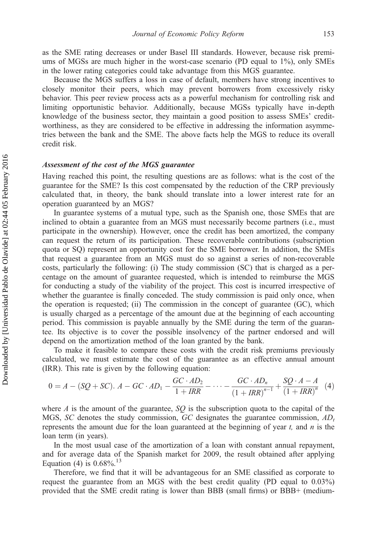as the SME rating decreases or under Basel III standards. However, because risk premiums of MGSs are much higher in the worst-case scenario (PD equal to 1%), only SMEs in the lower rating categories could take advantage from this MGS guarantee.

Because the MGS suffers a loss in case of default, members have strong incentives to closely monitor their peers, which may prevent borrowers from excessively risky behavior. This peer review process acts as a powerful mechanism for controlling risk and limiting opportunistic behavior. Additionally, because MGSs typically have in-depth knowledge of the business sector, they maintain a good position to assess SMEs' creditworthiness, as they are considered to be effective in addressing the information asymmetries between the bank and the SME. The above facts help the MGS to reduce its overall credit risk.

# Assessment of the cost of the MGS guarantee

Having reached this point, the resulting questions are as follows: what is the cost of the guarantee for the SME? Is this cost compensated by the reduction of the CRP previously calculated that, in theory, the bank should translate into a lower interest rate for an operation guaranteed by an MGS?

In guarantee systems of a mutual type, such as the Spanish one, those SMEs that are inclined to obtain a guarantee from an MGS must necessarily become partners (i.e., must participate in the ownership). However, once the credit has been amortized, the company can request the return of its participation. These recoverable contributions (subscription quota or SQ) represent an opportunity cost for the SME borrower. In addition, the SMEs that request a guarantee from an MGS must do so against a series of non-recoverable costs, particularly the following: (i) The study commission (SC) that is charged as a percentage on the amount of guarantee requested, which is intended to reimburse the MGS for conducting a study of the viability of the project. This cost is incurred irrespective of whether the guarantee is finally conceded. The study commission is paid only once, when the operation is requested; (ii) The commission in the concept of guarantee (GC), which is usually charged as a percentage of the amount due at the beginning of each accounting period. This commission is payable annually by the SME during the term of the guarantee. Its objective is to cover the possible insolvency of the partner endorsed and will depend on the amortization method of the loan granted by the bank.

To make it feasible to compare these costs with the credit risk premiums previously calculated, we must estimate the cost of the guarantee as an effective annual amount (IRR). This rate is given by the following equation:

$$
0 = A - (SQ + SC). A - GC \cdot AD_1 - \frac{GC \cdot AD_2}{1 + IRR} - \dots - \frac{GC \cdot AD_n}{(1 + IRR)^{n-1}} + \frac{SQ \cdot A - A}{(1 + IRR)^n} \tag{4}
$$

where A is the amount of the guarantee,  $SQ$  is the subscription quota to the capital of the MGS, SC denotes the study commission, GC designates the guarantee commission,  $AD<sub>t</sub>$ represents the amount due for the loan guaranteed at the beginning of year  $t$ , and  $n$  is the loan term (in years).

In the most usual case of the amortization of a loan with constant annual repayment, and for average data of the Spanish market for 2009, the result obtained after applying Equation (4) is  $0.68\%$ .<sup>13</sup>

Therefore, we find that it will be advantageous for an SME classified as corporate to request the guarantee from an MGS with the best credit quality (PD equal to 0.03%) provided that the SME credit rating is lower than BBB (small firms) or BBB+ (medium-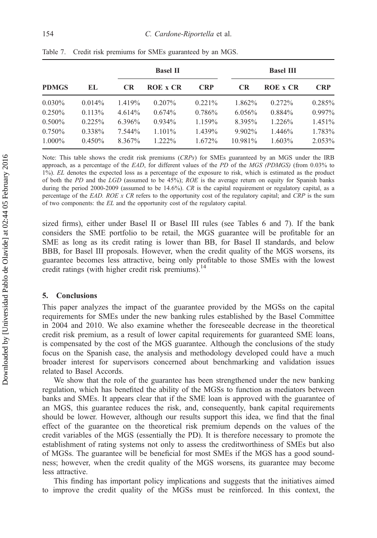|              | <b>Basel II</b> |           |                 |            | <b>Basel III</b> |                 |            |  |
|--------------|-----------------|-----------|-----------------|------------|------------------|-----------------|------------|--|
| <b>PDMGS</b> | EL.             | <b>CR</b> | <b>ROE x CR</b> | <b>CRP</b> | <b>CR</b>        | <b>ROE x CR</b> | <b>CRP</b> |  |
| $0.030\%$    | $0.014\%$       | 1.419%    | $0.207\%$       | $0.221\%$  | 1.862%           | 0.272%          | 0.285%     |  |
| $0.250\%$    | $0.113\%$       | 4.614%    | $0.674\%$       | 0.786%     | $6.056\%$        | $0.884\%$       | $0.997\%$  |  |
| $0.500\%$    | $0.225\%$       | $6.396\%$ | $0.934\%$       | 1.159%     | 8.395%           | $1.226\%$       | $1.451\%$  |  |
| $0.750\%$    | $0.338\%$       | 7.544%    | $1.101\%$       | 1.439%     | $9.902\%$        | 1.446%          | 1.783%     |  |
| $1.000\%$    | $0.450\%$       | $8.367\%$ | $1.222\%$       | $1.672\%$  | 10.981%          | $1.603\%$       | 2.053%     |  |

Table 7. Credit risk premiums for SMEs guaranteed by an MGS.

Note: This table shows the credit risk premiums (CRPs) for SMEs guaranteed by an MGS under the IRB approach, as a percentage of the EAD, for different values of the PD of the MGS (PDMGS) (from 0.03% to 1%). EL denotes the expected loss as a percentage of the exposure to risk, which is estimated as the product of both the PD and the LGD (assumed to be  $45\%$ ); ROE is the average return on equity for Spanish banks during the period 2000-2009 (assumed to be 14.6%). CR is the capital requirement or regulatory capital, as a percentage of the EAD. ROE x CR refers to the opportunity cost of the regulatory capital; and CRP is the sum of two components: the EL and the opportunity cost of the regulatory capital.

sized firms), either under Basel II or Basel III rules (see Tables 6 and 7). If the bank considers the SME portfolio to be retail, the MGS guarantee will be profitable for an SME as long as its credit rating is lower than BB, for Basel II standards, and below BBB, for Basel III proposals. However, when the credit quality of the MGS worsens, its guarantee becomes less attractive, being only profitable to those SMEs with the lowest credit ratings (with higher credit risk premiums).<sup>14</sup>

### 5. Conclusions

This paper analyzes the impact of the guarantee provided by the MGSs on the capital requirements for SMEs under the new banking rules established by the Basel Committee in 2004 and 2010. We also examine whether the foreseeable decrease in the theoretical credit risk premium, as a result of lower capital requirements for guaranteed SME loans, is compensated by the cost of the MGS guarantee. Although the conclusions of the study focus on the Spanish case, the analysis and methodology developed could have a much broader interest for supervisors concerned about benchmarking and validation issues related to Basel Accords.

We show that the role of the guarantee has been strengthened under the new banking regulation, which has benefited the ability of the MGSs to function as mediators between banks and SMEs. It appears clear that if the SME loan is approved with the guarantee of an MGS, this guarantee reduces the risk, and, consequently, bank capital requirements should be lower. However, although our results support this idea, we find that the final effect of the guarantee on the theoretical risk premium depends on the values of the credit variables of the MGS (essentially the PD). It is therefore necessary to promote the establishment of rating systems not only to assess the creditworthiness of SMEs but also of MGSs. The guarantee will be beneficial for most SMEs if the MGS has a good soundness; however, when the credit quality of the MGS worsens, its guarantee may become less attractive.

This finding has important policy implications and suggests that the initiatives aimed to improve the credit quality of the MGSs must be reinforced. In this context, the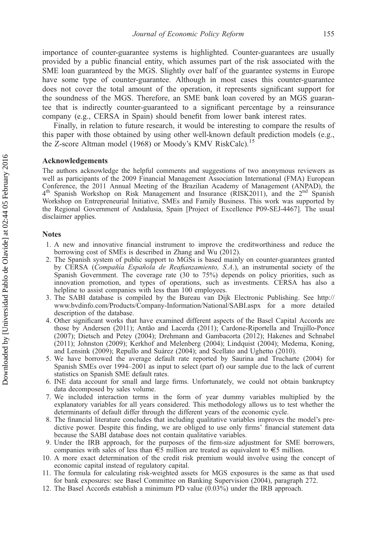importance of counter-guarantee systems is highlighted. Counter-guarantees are usually provided by a public financial entity, which assumes part of the risk associated with the SME loan guaranteed by the MGS. Slightly over half of the guarantee systems in Europe have some type of counter-guarantee. Although in most cases this counter-guarantee does not cover the total amount of the operation, it represents significant support for the soundness of the MGS. Therefore, an SME bank loan covered by an MGS guarantee that is indirectly counter-guaranteed to a significant percentage by a reinsurance company (e.g., CERSA in Spain) should benefit from lower bank interest rates.

Finally, in relation to future research, it would be interesting to compare the results of this paper with those obtained by using other well-known default prediction models (e.g., the Z-score Altman model (1968) or Moody's KMV RiskCalc).<sup>15</sup>

#### Acknowledgements

The authors acknowledge the helpful comments and suggestions of two anonymous reviewers as well as participants of the 2009 Financial Management Association International (FMA) European Conference, the 2011 Annual Meeting of the Brazilian Academy of Management (ANPAD), the 4<sup>th</sup> Spanish Workshop on Risk Management and Insurance (RISK2011), and the 2<sup>nd</sup> Spanish Workshop on Entrepreneurial Initiative, SMEs and Family Business. This work was supported by the Regional Government of Andalusia, Spain [Project of Excellence P09-SEJ-4467]. The usual disclaimer applies.

#### Notes

- 1. A new and innovative financial instrument to improve the creditworthiness and reduce the borrowing cost of SMEs is described in Zhang and Wu (2012).
- 2. The Spanish system of public support to MGSs is based mainly on counter-guarantees granted by CERSA (Compañía Española de Reafianzamiento, S.A.), an instrumental society of the Spanish Government. The coverage rate (30 to 75%) depends on policy priorities, such as innovation promotion, and types of operations, such as investments. CERSA has also a helpline to assist companies with less than 100 employees.
- 3. The SABI database is compiled by the Bureau van Dijk Electronic Publishing. See [http://](http://www.bvdinfo.com/Products/) [www.bvdinfo.com/Products/C](http://www.bvdinfo.com/Products/)ompany-Information/National/SABI.aspx for a more detailed description of the database.
- 4. Other significant works that have examined different aspects of the Basel Capital Accords are those by Andersen (2011); Antão and Lacerda (2011); Cardone-Riportella and Trujillo-Ponce (2007); Dietsch and Petey (2004); Drehmann and Gambacorta (2012); Hakenes and Schnabel (2011); Johnston (2009); Kerkhof and Melenberg (2004); Lindquist (2004); Medema, Koning, and Lensink (2009); Repullo and Suárez (2004); and Scellato and Ughetto (2010).
- 5. We have borrowed the average default rate reported by Saurina and Trucharte (2004) for Spanish SMEs over 1994–2001 as input to select (part of) our sample due to the lack of current statistics on Spanish SME default rates.
- 6. INE data account for small and large firms. Unfortunately, we could not obtain bankruptcy data decomposed by sales volume.
- 7. We included interaction terms in the form of year dummy variables multiplied by the explanatory variables for all years considered. This methodology allows us to test whether the determinants of default differ through the different years of the economic cycle.
- 8. The financial literature concludes that including qualitative variables improves the model's predictive power. Despite this finding, we are obliged to use only firms' financial statement data because the SABI database does not contain qualitative variables.
- 9. Under the IRB approach, for the purposes of the firm-size adjustment for SME borrowers, companies with sales of less than  $\epsilon$ 5 million are treated as equivalent to  $\epsilon$ 5 million.
- 10. A more exact determination of the credit risk premium would involve using the concept of economic capital instead of regulatory capital.
- 11. The formula for calculating risk-weighted assets for MGS exposures is the same as that used for bank exposures: see Basel Committee on Banking Supervision (2004), paragraph 272.
- 12. The Basel Accords establish a minimum PD value (0.03%) under the IRB approach.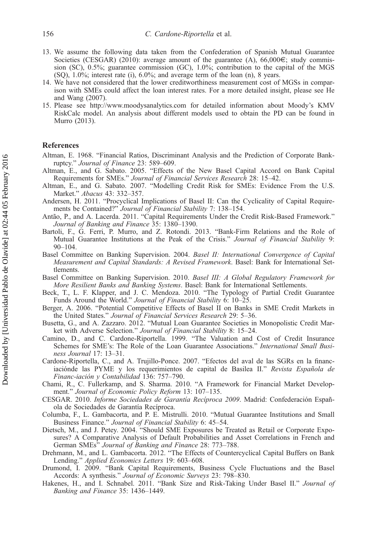- 13. We assume the following data taken from the Confederation of Spanish Mutual Guarantee Societies (CESGAR) (2010): average amount of the guarantee (A),  $66,000 \in$ ; study commission (SC), 0.5%; guarantee commission (GC), 1.0%; contribution to the capital of the MGS (SQ), 1.0%; interest rate (i), 6.0%; and average term of the loan (n), 8 years.
- 14. We have not considered that the lower creditworthiness measurement cost of MGSs in comparison with SMEs could affect the loan interest rates. For a more detailed insight, please see He and Wang (2007).
- 15. Please see<http://www.moodysanalytics.com> for detailed information about Moody's KMV RiskCalc model. An analysis about different models used to obtain the PD can be found in Murro (2013).

### References

- Altman, E. 1968. "Financial Ratios, Discriminant Analysis and the Prediction of Corporate Bankruptcy." Journal of Finance 23: 589–609.
- Altman, E., and G. Sabato. 2005. "Effects of the New Basel Capital Accord on Bank Capital Requirements for SMEs." Journal of Financial Services Research 28: 15-42.
- Altman, E., and G. Sabato. 2007. "Modelling Credit Risk for SMEs: Evidence From the U.S. Market." Abacus 43: 332–357.
- Andersen, H. 2011. "Procyclical Implications of Basel II: Can the Cyclicality of Capital Requirements be Contained?" Journal of Financial Stability 7: 138–154.
- Antão, P., and A. Lacerda. 2011. "Capital Requirements Under the Credit Risk-Based Framework." Journal of Banking and Finance 35: 1380–1390.
- Bartoli, F., G. Ferri, P. Murro, and Z. Rotondi. 2013. "Bank-Firm Relations and the Role of Mutual Guarantee Institutions at the Peak of the Crisis." Journal of Financial Stability 9: 90–104.
- Basel Committee on Banking Supervision. 2004. Basel II: International Convergence of Capital Measurement and Capital Standards: A Revised Framework. Basel: Bank for International Settlements.
- Basel Committee on Banking Supervision. 2010. Basel III: A Global Regulatory Framework for More Resilient Banks and Banking Systems. Basel: Bank for International Settlements.
- Beck, T., L. F. Klapper, and J. C. Mendoza. 2010. "The Typology of Partial Credit Guarantee Funds Around the World." Journal of Financial Stability 6: 10–25.
- Berger, A. 2006. "Potential Competitive Effects of Basel II on Banks in SME Credit Markets in the United States." Journal of Financial Services Research 29: 5–36.
- Busetta, G., and A. Zazzaro. 2012. "Mutual Loan Guarantee Societies in Monopolistic Credit Market with Adverse Selection." Journal of Financial Stability 8: 15–24.
- Camino, D., and C. Cardone-Riportella. 1999. "The Valuation and Cost of Credit Insurance Schemes for SME's: The Role of the Loan Guarantee Associations." International Small Business Journal 17: 13–31.
- Cardone-Riportella, C., and A. Trujillo-Ponce. 2007. "Efectos del aval de las SGRs en la financiaciónde las PYME y los requerimientos de capital de Basilea II." Revista Española de Financ-iación y Contabilidad 136: 757–790.
- Chami, R., C. Fullerkamp, and S. Sharma. 2010. "A Framework for Financial Market Development." Journal of Economic Policy Reform 13: 107–135.
- CESGAR. 2010. Informe Sociedades de Garantía Recíproca 2009. Madrid: Confederación Española de Sociedades de Garantía Recíproca.
- Columba, F., L. Gambacorta, and P. E. Mistrulli. 2010. "Mutual Guarantee Institutions and Small Business Finance." Journal of Financial Stability 6: 45–54.
- Dietsch, M., and J. Petey. 2004. "Should SME Exposures be Treated as Retail or Corporate Exposures? A Comparative Analysis of Default Probabilities and Asset Correlations in French and German SMEs" Journal of Banking and Finance 28: 773–788.
- Drehmann, M., and L. Gambacorta. 2012. "The Effects of Countercyclical Capital Buffers on Bank Lending." Applied Economics Letters 19: 603–608.
- Drumond, I. 2009. "Bank Capital Requirements, Business Cycle Fluctuations and the Basel Accords: A synthesis." Journal of Economic Surveys 23: 798–830.
- Hakenes, H., and I. Schnabel. 2011. "Bank Size and Risk-Taking Under Basel II." Journal of Banking and Finance 35: 1436–1449.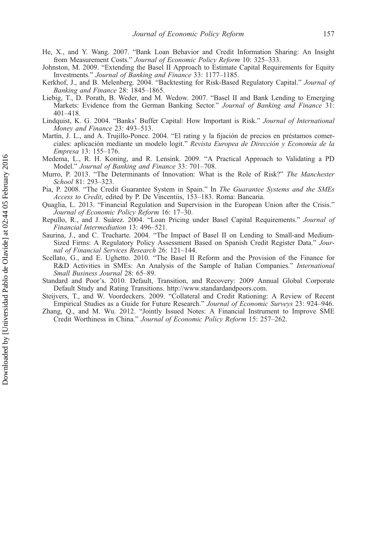- He, X., and Y. Wang. 2007. "Bank Loan Behavior and Credit Information Sharing: An Insight from Measurement Costs." Journal of Economic Policy Reform 10: 325-333.
- Johnston, M. 2009. "Extending the Basel II Approach to Estimate Capital Requirements for Equity Investments." Journal of Banking and Finance 33: 1177–1185.
- Kerkhof, J., and B. Melenberg. 2004. "Backtesting for Risk-Based Regulatory Capital." Journal of Banking and Finance 28: 1845–1865.
- Liebig, T., D. Porath, B. Weder, and M. Wedow. 2007. "Basel II and Bank Lending to Emerging Markets: Evidence from the German Banking Sector." Journal of Banking and Finance 31: 401–418.
- Lindquist, K. G. 2004. "Banks' Buffer Capital: How Important is Risk." Journal of International Money and Finance 23: 493–513.
- Martín, J. L., and A. Trujillo-Ponce. 2004. "El rating y la fijación de precios en préstamos comerciales: aplicación mediante un modelo logit." Revista Europea de Dirección y Economía de la Empresa 13: 155–176.
- Medema, L., R. H. Koning, and R. Lensink. 2009. "A Practical Approach to Validating a PD Model." Journal of Banking and Finance 33: 701–708.
- Murro, P. 2013. "The Determinants of Innovation: What is the Role of Risk?" The Manchester School 81: 293–323.
- Pia, P. 2008. "The Credit Guarantee System in Spain." In The Guarantee Systems and the SMEs Access to Credit, edited by P. De Vincentiis, 153-183. Roma: Bancaria.
- Quaglia, L. 2013. "Financial Regulation and Supervision in the European Union after the Crisis." Journal of Economic Policy Reform 16: 17–30.
- Repullo, R., and J. Suárez. 2004. "Loan Pricing under Basel Capital Requirements." Journal of Financial Intermediation 13: 496–521.
- Saurina, J., and C. Trucharte. 2004. "The Impact of Basel II on Lending to Small-and Medium-Sized Firms: A Regulatory Policy Assessment Based on Spanish Credit Register Data." Journal of Financial Services Research 26: 121–144.
- Scellato, G., and E. Ughetto. 2010. "The Basel II Reform and the Provision of the Finance for R&D Activities in SMEs: An Analysis of the Sample of Italian Companies." International Small Business Journal 28: 65–89.
- Standard and Poor's. 2010. Default, Transition, and Recovery: 2009 Annual Global Corporate Default Study and Rating Transitions. [http://www.standardandpoors.com.](http://www.standardandpoors.com)
- Steijvers, T., and W. Voordeckers. 2009. "Collateral and Credit Rationing: A Review of Recent Empirical Studies as a Guide for Future Research." Journal of Economic Surveys 23: 924–946.
- Zhang, Q., and M. Wu. 2012. "Jointly Issued Notes: A Financial Instrument to Improve SME Credit Worthiness in China." Journal of Economic Policy Reform 15: 257-262.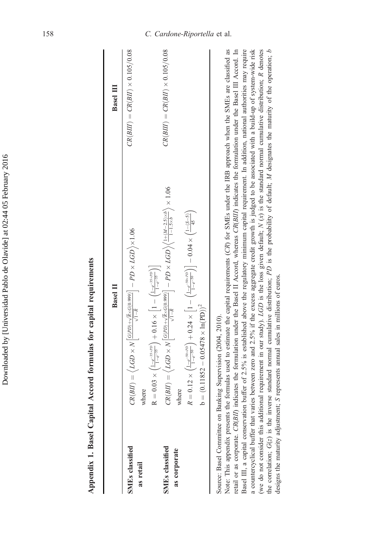| I<br>I                                                                                                                        |
|-------------------------------------------------------------------------------------------------------------------------------|
| l<br>l<br>ļ                                                                                                                   |
| J                                                                                                                             |
| j                                                                                                                             |
| 1                                                                                                                             |
| 1                                                                                                                             |
| i                                                                                                                             |
|                                                                                                                               |
|                                                                                                                               |
| י<br>֧֖֖֖֧ׅ֧ׅׅ֧֧֧֧֧֧֧֧֧֧֧֧֧֧֧֧֧֧֧֧֧֧֚֚֚֚֚֚֚֚֚֚֚֚֚֚֚֚֚֚֚֚֓֝֓֝֓֝֬֓֝֬֓֝֬֓֝֬֝֬֝֬֝֬֝֬֝֬֝֬֝֬<br>֧֧֧֪֧֪֧֧֧֧֧֧֧֧֧֧֧֧֧֧֧֪֪֧֧֧֧֜֩֩<br>l |
|                                                                                                                               |
|                                                                                                                               |
| ı                                                                                                                             |

Appendix 1. Basel Capital Accord formulas for capital requirements Appendix 1. Basel Capital Accord formulas for capital requirements

|                                        | <b>Basel II</b>                                                                                                                                                                                                                                                                                                                                                             | <b>Basel III</b>                       |
|----------------------------------------|-----------------------------------------------------------------------------------------------------------------------------------------------------------------------------------------------------------------------------------------------------------------------------------------------------------------------------------------------------------------------------|----------------------------------------|
| <b>SMEs</b> classified<br>as retail    | $\textit{CR(BII)} = \Big \langle \textit{LGD} \times N \Big \vert \frac{ \textit{G(PD)} + \sqrt{\textit{R} \times G(0.999)}}{\sqrt{1-\textit{R}}} \Big \vert - \textit{PD} \times \textit{LGD} \Big \rangle \times 1.06$<br>where                                                                                                                                           | $CR(BIII) = CR(BII) \times 0.105/0.08$ |
| <b>SMEs</b> classified<br>as corporate | $CR(BII) = \left\langle LGD \times N \left[ \frac{G(PD) + \sqrt{R} \times G(0.999)}{\sqrt{1-R}} \right] - PD \times LGD \right\rangle \left\langle \frac{1 + (M-2.5) \times b}{1 - 1.5 \times b} \right\rangle \times 1.06$<br>R = 0.03 × $\left(\frac{1-e^{-3s \times np}}{1-e^{-3s}}\right)$ + 0.16 × $\left[1-\left(\frac{1-e^{-3s \times np}}{1-e^{-3s}}\right)\right]$ | $CR(BIII) = CR(BII) \times 0.105/0.08$ |
|                                        | $R = 0.12 \times \left( \frac{1 - e^{-50 \times RD}}{1 - e^{-50}} \right) + 0.24 \times \left[ 1 - \left( \frac{1 - e^{-50 \times RD}}{1 - e^{-50}} \right) \right] - 0.04 \times \left( \frac{1 - (5 - 5)}{45} \right)$<br>where                                                                                                                                           |                                        |
|                                        | $0.11852 - 0.05478 \times \ln( \text{PD}) \right)^2$<br>$\frac{1}{9}$                                                                                                                                                                                                                                                                                                       |                                        |
|                                        | Source: Basel Committee on Banking Supervision (2004, 2010).                                                                                                                                                                                                                                                                                                                |                                        |

Source: Basel Committee on Banking Supervision (2004, 2010).

Basel III, a capital conservation buffer of 2.5% is established above the regulatory minimum capital requirement. In addition, national authorities may require a countercyclical buffer that varies between zero and 2.5% if the excess aggregate credit growth is judged to be associated with a build-up of system-wide risk (we do not consider this additional requirement in our study). *LGD* is the loss given default;  $N(x)$  is the standard normal cumulative distribution; R denotes the correlation;  $G(z)$  is the inverse standard normal cumulative distribution; PD is the probability of default; M designates the maturity of the operation; b Note: This appendix presents the formulas used to estimate the capital requirements (CR) for SMEs under the IRB approach when the SMEs are classified as retail or as corporate. CR(BII) indicates the formulation under the Basel II Accord, whereas CR(BIII) indicates the formulation under the Basel III Accord. In retail or as corporate. CR(BII) indicates the formulation under the Basel II Accord, whereas CR(BIII) indicates the formulation under the Basel III Accord. In Basel III, a capital conservation buffer of 2.5% is established above the regulatory minimum capital requirement. In addition, national authorities may require a countercyclical buffer that varies between zero and 2.5% if the excess aggregate credit growth is judged to be associated with a build-up of system-wide risk R denotes  $M$  designates the maturity of the operation; b Note: This appendix presents the formulas used to estimate the capital requirements (CR) for SMEs under the IRB approach when the SMEs are classi  $N(x)$  is the standard normal cumulative distribution;  $G(z)$  is the inverse standard normal cumulative distribution; PD is the probability of default; (we do not consider this additional requirement in our study).  $LGD$  is the loss given default; designs the maturity adjustment; S represents annual sales in millions of euros. represents annual sales in millions of euros. designs the maturity adjustment; the correlation;